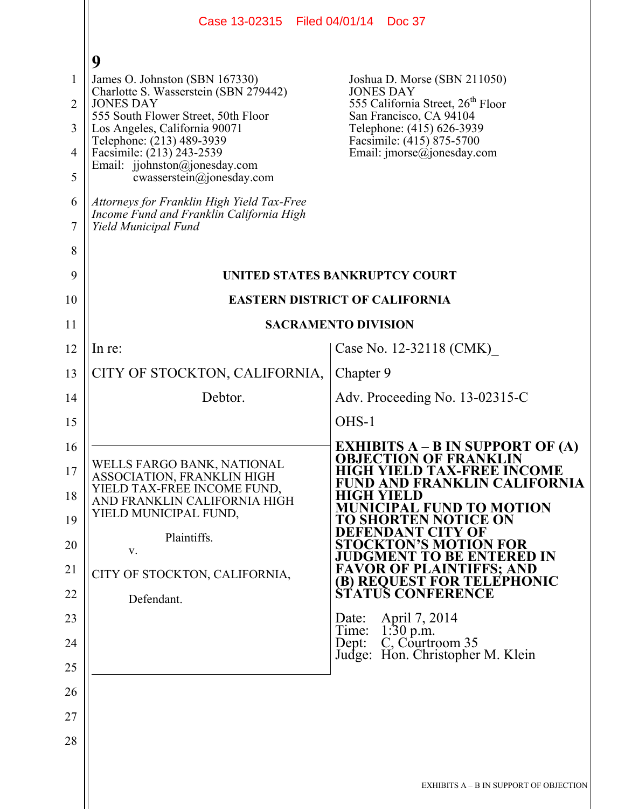|                | Case 13-02315 Filed 04/01/14 Doc 37                                                                            |                                                                            |  |
|----------------|----------------------------------------------------------------------------------------------------------------|----------------------------------------------------------------------------|--|
|                | 9                                                                                                              |                                                                            |  |
| $\mathbf{1}$   | James O. Johnston (SBN 167330)                                                                                 | Joshua D. Morse (SBN 211050)                                               |  |
| $\overline{2}$ | Charlotte S. Wasserstein (SBN 279442)<br><b>JONES DAY</b>                                                      | <b>JONES DAY</b><br>555 California Street, 26 <sup>th</sup> Floor          |  |
| 3              | 555 South Flower Street, 50th Floor<br>Los Angeles, California 90071                                           | San Francisco, CA 94104<br>Telephone: (415) 626-3939                       |  |
| 4              | Telephone: (213) 489-3939<br>Facsimile: (213) 243-2539                                                         | Facsimile: (415) 875-5700<br>Email: imorse@jonesday.com                    |  |
| 5              | Email: jjohnston@jonesday.com<br>cwasserstein@jonesday.com                                                     |                                                                            |  |
| 6<br>7         | Attorneys for Franklin High Yield Tax-Free<br>Income Fund and Franklin California High<br>Yield Municipal Fund |                                                                            |  |
| 8              |                                                                                                                |                                                                            |  |
| 9              |                                                                                                                | UNITED STATES BANKRUPTCY COURT                                             |  |
| 10             | <b>EASTERN DISTRICT OF CALIFORNIA</b>                                                                          |                                                                            |  |
| 11             |                                                                                                                | <b>SACRAMENTO DIVISION</b>                                                 |  |
| 12             | In re:                                                                                                         | Case No. 12-32118 (CMK)                                                    |  |
| 13             | CITY OF STOCKTON, CALIFORNIA,                                                                                  | Chapter 9                                                                  |  |
| 14             | Debtor.                                                                                                        | Adv. Proceeding No. 13-02315-C                                             |  |
| 15             |                                                                                                                | OHS-1                                                                      |  |
| 16             | WELLS FARGO BANK, NATIONAL                                                                                     | <b>EXHIBITS A – B IN SUPPORT OF (A)</b><br><b>OBJECTION OF FRANKLIN</b>    |  |
| 17             | ASSOCIATION, FRANKLIN HIGH<br>YIELD TAX-FREE INCOME FUND,                                                      | <b>HIGH YIELD TAX-FREE INCOME</b><br>FUND AND FRANKLIN CALIFORNIA          |  |
| 18             | AND FRANKLIN CALIFORNIA HIGH<br>YIELD MUNICIPAL FUND,                                                          | <b>HIGH YIELD</b><br><b>MUNICIPAL FUND TO MOTION</b>                       |  |
| 19             | Plaintiffs.                                                                                                    | TO SHORTEN NOTICE ON<br>DEFENDANT CITY OF                                  |  |
| 20             | V.                                                                                                             | <b>STOCKTON'S MOTION FOR</b><br><b>JUDGMENT TO BE ENTERED IN</b>           |  |
| 21             | CITY OF STOCKTON, CALIFORNIA,                                                                                  | <b>FAVOR OF PLAINTIFFS; AND</b><br>(B) REQUEST FOR TELEPHONIC              |  |
| 22             | Defendant.                                                                                                     | <b>STATUS CONFERENCE</b>                                                   |  |
| 23<br>24       |                                                                                                                | April 7, 2014<br>Date:<br>Time:<br>$1:30$ p.m.<br>C, Courtroom 35<br>Dept: |  |
| 25             |                                                                                                                | Judge: Hon. Christopher M. Klein                                           |  |
| 26             |                                                                                                                |                                                                            |  |
| 27             |                                                                                                                |                                                                            |  |
| 28             |                                                                                                                |                                                                            |  |
|                |                                                                                                                |                                                                            |  |
|                |                                                                                                                | EXHIBITS A - B IN SUPPORT OF OBJECTION                                     |  |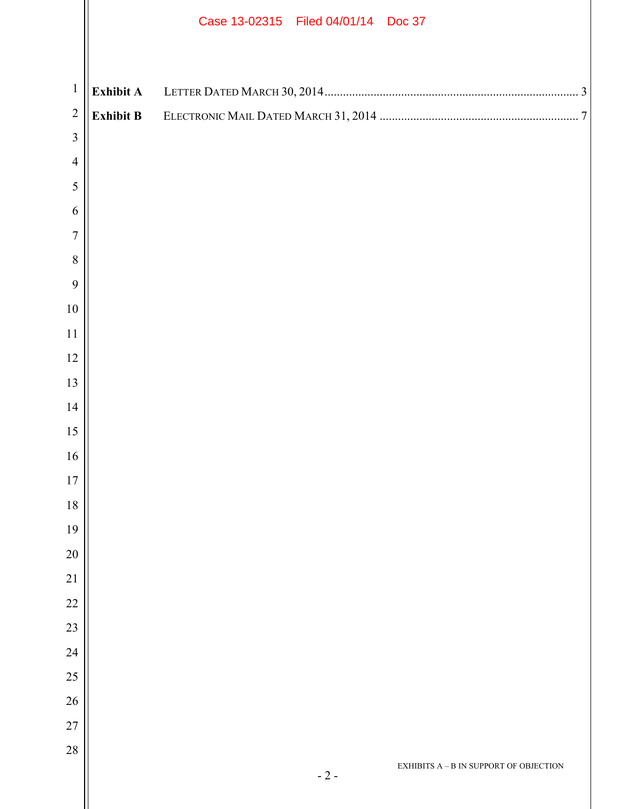|                                  |                  | Case 13-02315   Filed 04/01/14   Doc 37           |
|----------------------------------|------------------|---------------------------------------------------|
|                                  |                  |                                                   |
| $\mathbf{1}$                     | <b>Exhibit A</b> |                                                   |
| $\overline{2}$<br>$\overline{3}$ | <b>Exhibit B</b> |                                                   |
| $\overline{4}$                   |                  |                                                   |
| $\sqrt{5}$                       |                  |                                                   |
| 6                                |                  |                                                   |
| $\overline{7}$                   |                  |                                                   |
| $8\,$                            |                  |                                                   |
| $\overline{9}$                   |                  |                                                   |
| $10\,$                           |                  |                                                   |
| 11                               |                  |                                                   |
| 12                               |                  |                                                   |
| 13                               |                  |                                                   |
| 14                               |                  |                                                   |
| 15                               |                  |                                                   |
| 16                               |                  |                                                   |
| 17                               |                  |                                                   |
| $18\,$                           |                  |                                                   |
| 19                               |                  |                                                   |
| $20\,$                           |                  |                                                   |
| $21\,$                           |                  |                                                   |
| $22\,$<br>23                     |                  |                                                   |
| 24                               |                  |                                                   |
| $25\,$                           |                  |                                                   |
| $26\,$                           |                  |                                                   |
| $27\,$                           |                  |                                                   |
| $28\,$                           |                  |                                                   |
|                                  |                  | EXHIBITS $A - B$ IN SUPPORT OF OBJECTION<br>$-2-$ |
|                                  |                  |                                                   |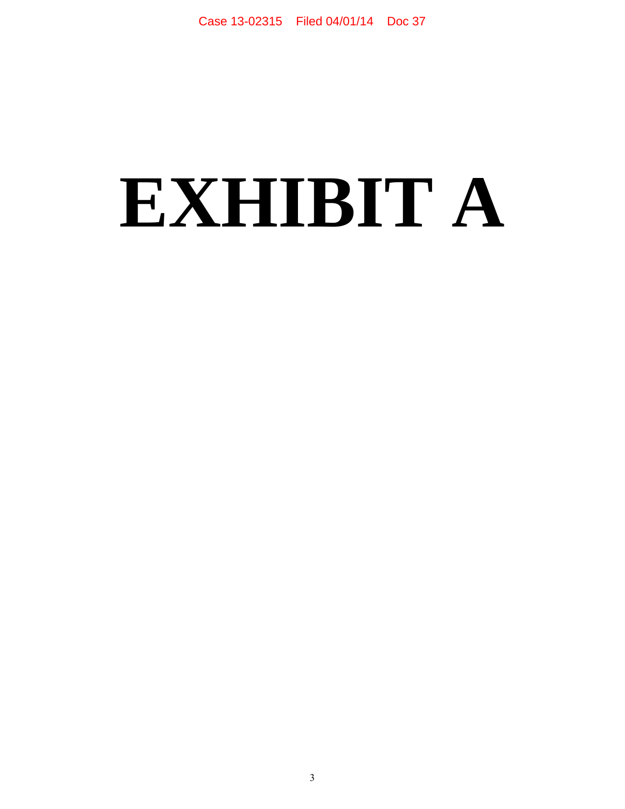# **EXHIBIT A**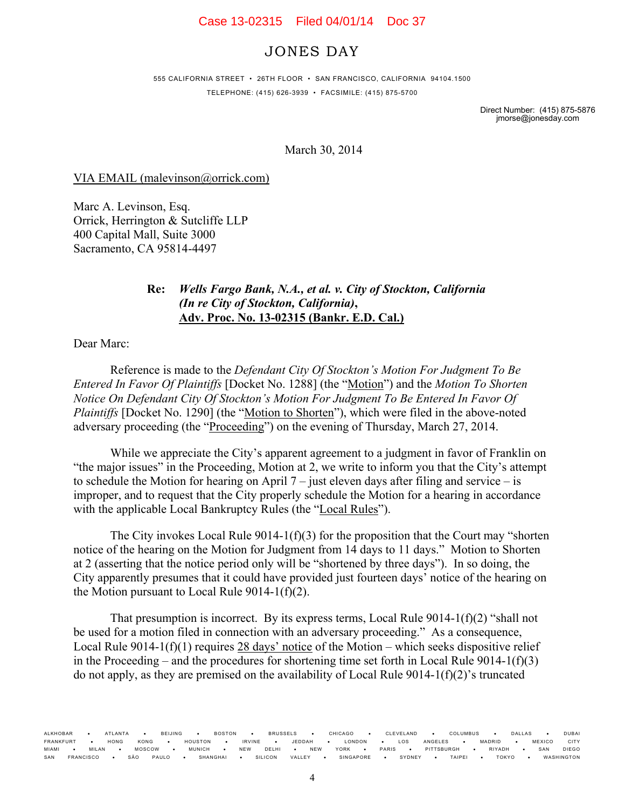### Case 13-02315 Filed 04/01/14 Doc 37

# JONES DAY

555 CALIFORNIA STREET • 26TH FLOOR • SAN FRANCISCO, CALIFORNIA 94104.1500 TELEPHONE: (415) 626-3939 • FACSIMILE: (415) 875-5700

> Direct Number: (415) 875-5876 jmorse@jonesday.com

March 30, 2014

VIA EMAIL (malevinson@orrick.com)

Marc A. Levinson, Esq. Orrick, Herrington & Sutcliffe LLP 400 Capital Mall, Suite 3000 Sacramento, CA 95814-4497

## **Re:** *Wells Fargo Bank, N.A., et al. v. City of Stockton, California (In re City of Stockton, California)***, Adv. Proc. No. 13-02315 (Bankr. E.D. Cal.)**

Dear Marc:

Reference is made to the *Defendant City Of Stockton's Motion For Judgment To Be Entered In Favor Of Plaintiffs* [Docket No. 1288] (the "Motion") and the *Motion To Shorten Notice On Defendant City Of Stockton's Motion For Judgment To Be Entered In Favor Of Plaintiffs* [Docket No. 1290] (the "Motion to Shorten"), which were filed in the above-noted adversary proceeding (the "Proceeding") on the evening of Thursday, March 27, 2014.

While we appreciate the City's apparent agreement to a judgment in favor of Franklin on "the major issues" in the Proceeding, Motion at 2, we write to inform you that the City's attempt to schedule the Motion for hearing on April 7 – just eleven days after filing and service – is improper, and to request that the City properly schedule the Motion for a hearing in accordance with the applicable Local Bankruptcy Rules (the "Local Rules").

The City invokes Local Rule 9014-1(f)(3) for the proposition that the Court may "shorten notice of the hearing on the Motion for Judgment from 14 days to 11 days." Motion to Shorten at 2 (asserting that the notice period only will be "shortened by three days"). In so doing, the City apparently presumes that it could have provided just fourteen days' notice of the hearing on the Motion pursuant to Local Rule  $9014-1(f)(2)$ .

That presumption is incorrect. By its express terms, Local Rule  $9014-1(f)(2)$  "shall not be used for a motion filed in connection with an adversary proceeding." As a consequence, Local Rule 9014-1(f)(1) requires  $28$  days' notice of the Motion – which seeks dispositive relief in the Proceeding – and the procedures for shortening time set forth in Local Rule  $9014-1(f)(3)$ do not apply, as they are premised on the availability of Local Rule 9014-1(f)(2)'s truncated

ALKHOBAR ATLANTA BEIJING BOSTON BRUSSELS CHICAGO CLEVELAND COLUMBUS DALLAS DUBAI **FRANKFURT • HONG KONG • HOUSTON • IRVINE • JEDDAH • LONDON • LOS ANGELES • MADRID • MEXICO CITY** FRANKFURT • HONG KONG • HOUSTON • IRVINE • JEDDAH • LONDON • LOS ANGELES • MADRID • MEXICO CITY<br>MIAMI • MILAN • MOSCOW • MUNICH • NEW DELHI • NEW YORK • PARIS • PITTSBURGH • RIYADH • SAN DIEGO<br>SAN FRANCISCO • SÃO PAULO • SAN FRANCISCO SÃO PAULO SHANGHAI SILICON VALLEY SINGAPORE SYDNEY TAIPEI TOKYO WASHINGTON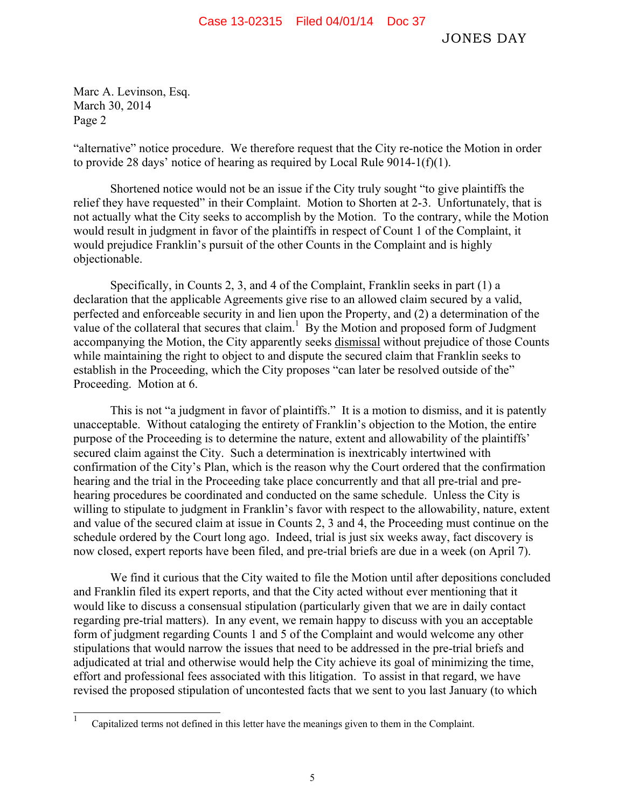Marc A. Levinson, Esq. March 30, 2014 Page 2

"alternative" notice procedure. We therefore request that the City re-notice the Motion in order to provide 28 days' notice of hearing as required by Local Rule 9014-1(f)(1).

Shortened notice would not be an issue if the City truly sought "to give plaintiffs the relief they have requested" in their Complaint. Motion to Shorten at 2-3. Unfortunately, that is not actually what the City seeks to accomplish by the Motion. To the contrary, while the Motion would result in judgment in favor of the plaintiffs in respect of Count 1 of the Complaint, it would prejudice Franklin's pursuit of the other Counts in the Complaint and is highly objectionable.

Specifically, in Counts 2, 3, and 4 of the Complaint, Franklin seeks in part (1) a declaration that the applicable Agreements give rise to an allowed claim secured by a valid, perfected and enforceable security in and lien upon the Property, and (2) a determination of the value of the collateral that secures that claim.<sup>1</sup> By the Motion and proposed form of Judgment accompanying the Motion, the City apparently seeks dismissal without prejudice of those Counts while maintaining the right to object to and dispute the secured claim that Franklin seeks to establish in the Proceeding, which the City proposes "can later be resolved outside of the" Proceeding. Motion at 6.

This is not "a judgment in favor of plaintiffs." It is a motion to dismiss, and it is patently unacceptable. Without cataloging the entirety of Franklin's objection to the Motion, the entire purpose of the Proceeding is to determine the nature, extent and allowability of the plaintiffs' secured claim against the City. Such a determination is inextricably intertwined with confirmation of the City's Plan, which is the reason why the Court ordered that the confirmation hearing and the trial in the Proceeding take place concurrently and that all pre-trial and prehearing procedures be coordinated and conducted on the same schedule. Unless the City is willing to stipulate to judgment in Franklin's favor with respect to the allowability, nature, extent and value of the secured claim at issue in Counts 2, 3 and 4, the Proceeding must continue on the schedule ordered by the Court long ago. Indeed, trial is just six weeks away, fact discovery is now closed, expert reports have been filed, and pre-trial briefs are due in a week (on April 7).

We find it curious that the City waited to file the Motion until after depositions concluded and Franklin filed its expert reports, and that the City acted without ever mentioning that it would like to discuss a consensual stipulation (particularly given that we are in daily contact regarding pre-trial matters). In any event, we remain happy to discuss with you an acceptable form of judgment regarding Counts 1 and 5 of the Complaint and would welcome any other stipulations that would narrow the issues that need to be addressed in the pre-trial briefs and adjudicated at trial and otherwise would help the City achieve its goal of minimizing the time, effort and professional fees associated with this litigation. To assist in that regard, we have revised the proposed stipulation of uncontested facts that we sent to you last January (to which

 1 Capitalized terms not defined in this letter have the meanings given to them in the Complaint.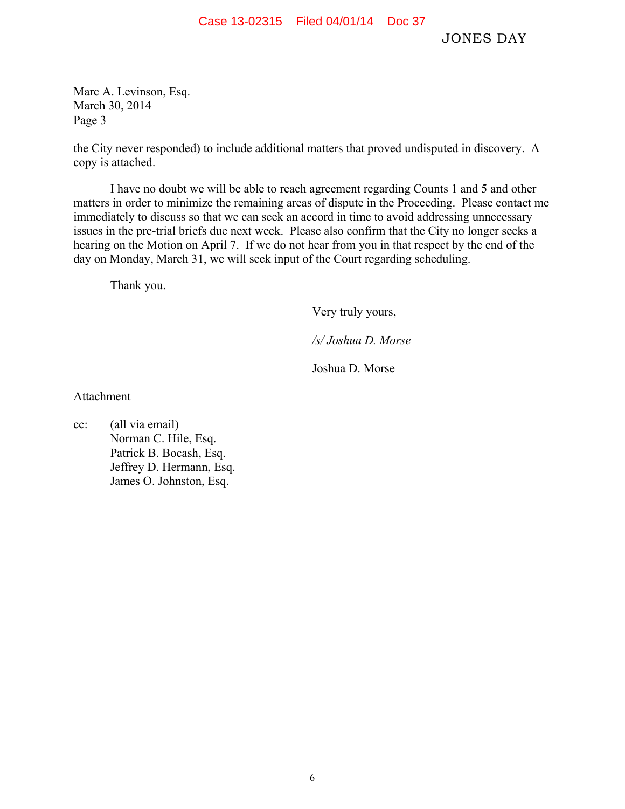Case 13-02315 Filed 04/01/14 Doc 37

JONES DAY

Marc A. Levinson, Esq. March 30, 2014 Page 3

the City never responded) to include additional matters that proved undisputed in discovery. A copy is attached.

I have no doubt we will be able to reach agreement regarding Counts 1 and 5 and other matters in order to minimize the remaining areas of dispute in the Proceeding. Please contact me immediately to discuss so that we can seek an accord in time to avoid addressing unnecessary issues in the pre-trial briefs due next week. Please also confirm that the City no longer seeks a hearing on the Motion on April 7. If we do not hear from you in that respect by the end of the day on Monday, March 31, we will seek input of the Court regarding scheduling.

Thank you.

Very truly yours,

*/s/ Joshua D. Morse* 

Joshua D. Morse

Attachment

cc: (all via email) Norman C. Hile, Esq. Patrick B. Bocash, Esq. Jeffrey D. Hermann, Esq. James O. Johnston, Esq.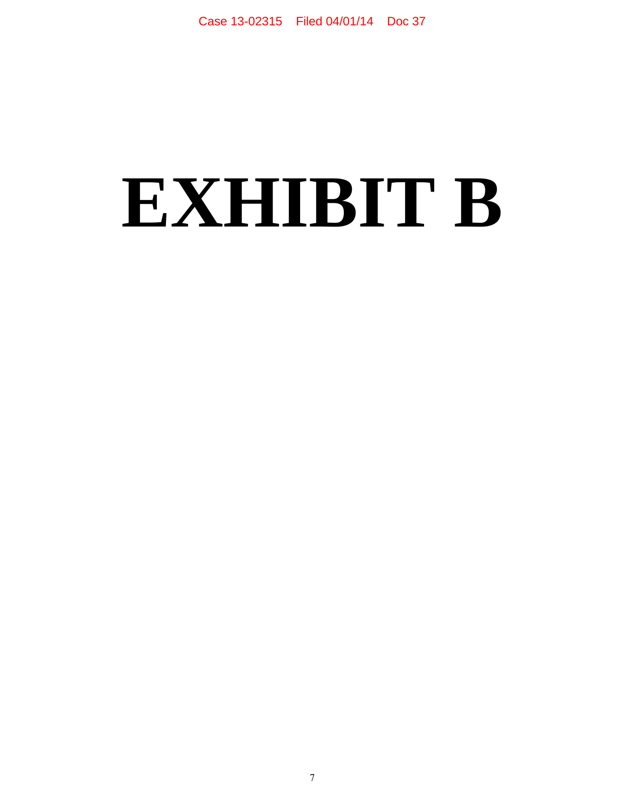# **EXHIBIT B**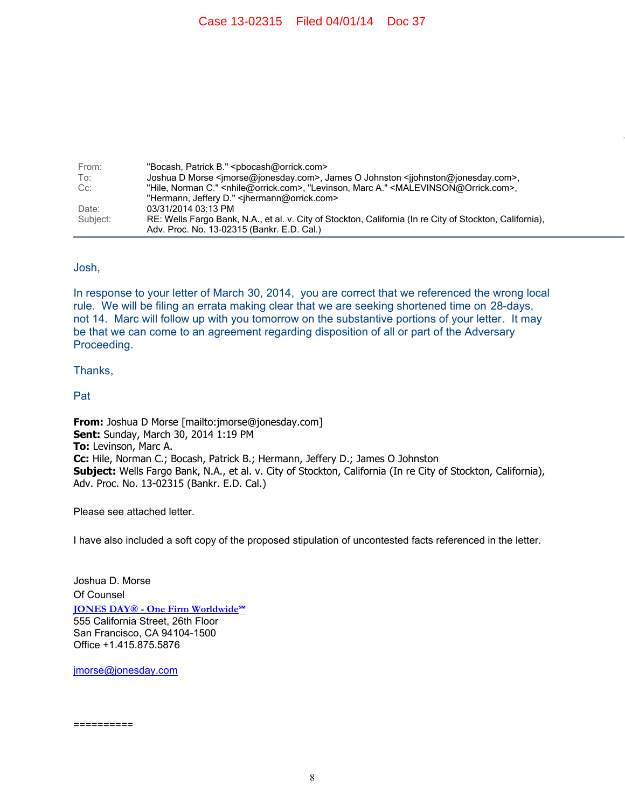| From:    | "Bocash, Patrick B." <pbocash@orrick.com></pbocash@orrick.com>                                                                  |
|----------|---------------------------------------------------------------------------------------------------------------------------------|
| To:      | Joshua D Morse <imorse@ionesday.com>, James O Johnston <ijohnston@ionesday.com>,</ijohnston@ionesday.com></imorse@ionesday.com> |
| Cc:      | "Hile, Norman C." <nhile@orrick.com>, "Levinson, Marc A." <malevinson@orrick.com>,</malevinson@orrick.com></nhile@orrick.com>   |
|          | "Hermann, Jeffery D." <ihermann@orrick.com></ihermann@orrick.com>                                                               |
| Date:    | 03/31/2014 03:13 PM                                                                                                             |
| Subject: | RE: Wells Fargo Bank, N.A., et al. v. City of Stockton, California (In re City of Stockton, California),                        |
|          | Adv. Proc. No. 13-02315 (Bankr. E.D. Cal.)                                                                                      |

### Josh,

In response to your letter of March 30, 2014, you are correct that we referenced the wrong local rule. We will be filing an errata making clear that we are seeking shortened time on 28-days, not 14. Marc will follow up with you tomorrow on the substantive portions of your letter. It may be that we can come to an agreement regarding disposition of all or part of the Adversary Proceeding.

#### Thanks,

Pat

**From:** Joshua D Morse [mailto:jmorse@jonesday.com] **Sent:** Sunday, March 30, 2014 1:19 PM **To:** Levinson, Marc A. **Cc:** Hile, Norman C.; Bocash, Patrick B.; Hermann, Jeffery D.; James O Johnston **Subject:** Wells Fargo Bank, N.A., et al. v. City of Stockton, California (In re City of Stockton, California), Adv. Proc. No. 13-02315 (Bankr. E.D. Cal.)

Please see attached letter.

I have also included a soft copy of the proposed stipulation of uncontested facts referenced in the letter.

Joshua D. Morse Of Counsel **JONES DAY® - One Firm Worldwide℠** 555 California Street, 26th Floor San Francisco, CA 94104-1500 Office +1.415.875.5876

jmorse@jonesday.com

==========